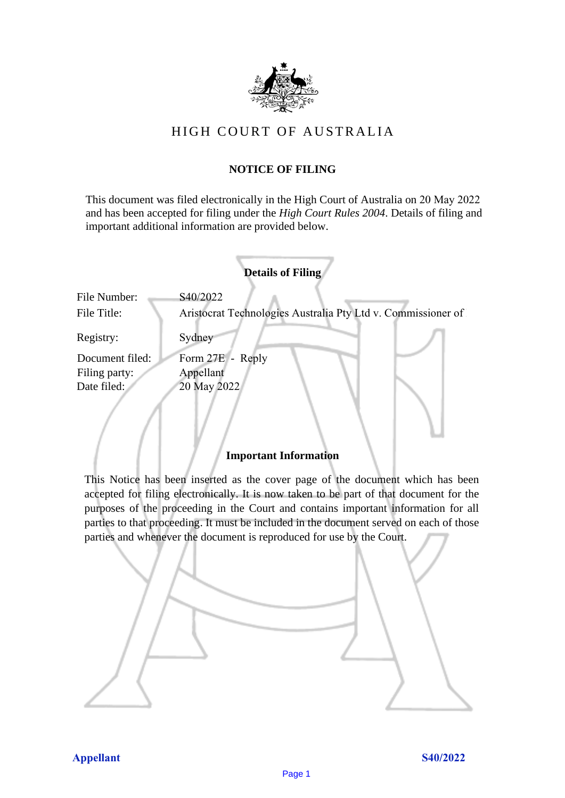

# HIGH COURT OF AU STRALIA HIGH COURT OF AUSTRALIA

## **NOTICE OF FILING** NOTICE OF FILING

This document was filed electronically in the High Court of Australia on 20 May 2022 and has been accepted for filing under the *High Court Rules 2004*. Details of filing and important additional information are provided below. important additional information are provided below.

| <b>Details of Filing</b>    |                                                                          |
|-----------------------------|--------------------------------------------------------------------------|
| File Number:<br>File Title: | S40/2022<br>Aristocrat Technologies Australia Pty Ltd v. Commissioner of |
| Registry:                   | Sydney                                                                   |
| Document filed:             | Form 27E - Reply                                                         |
| Filing party:               | Appellant                                                                |
| Date filed:                 | 20 May 2022                                                              |
|                             |                                                                          |

## **Important Information** Important Information

This Notice has been inserted as the cover page of the document which has been accepted for filing electronically. It is now taken to be part of that document for the purposes of the proceeding in the Court and contains important information for all parties to that proceeding. It must be included in the document served on each of those parties and whenever the document is reproduced for use by the Court. parties and whenever the document is reproduced for use by the Court

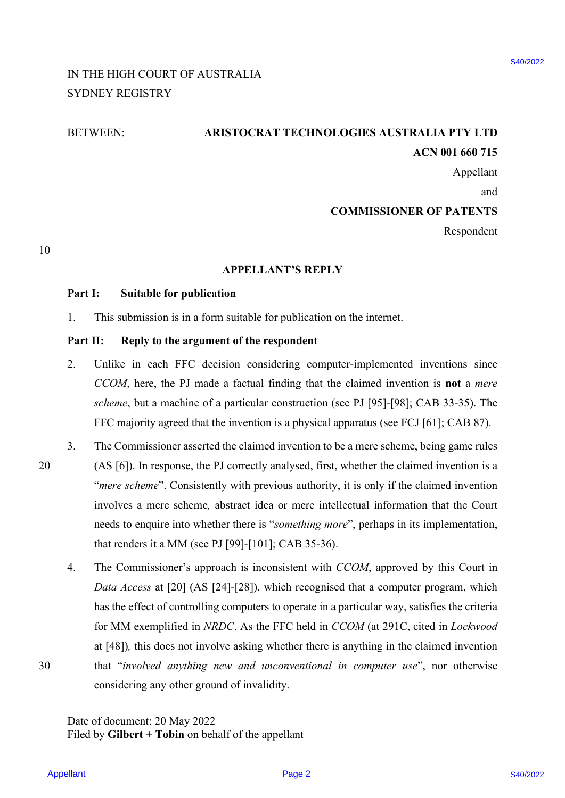# IN THE HIGH COURT OF AUSTRALIA IN THE HIGH COURT OF AUSTRALIA SYDNEY REGISTRY SYDNEY REGISTRY

# BETWEEN: **ARISTOCRAT TECHNOLOGIES AUSTRALIA PTY LTD** BETWEEN: ARISTOCRAT TECHNOLOGIES AUSTRALIA PTY LTD **ACN 001 660 715**  ACN 001 660 715

Appellant Appellant

and and

### **COMMISSIONER OF PATENTS** COMMISSIONER OF PATENTS

Respondent Respondent

10 10

#### **APPELLANT'S REPLY** APPELLANT'S REPLY

### Part I: Suitable for publication

1. This submission is in a form suitable for publication on the internet. This submission is in <sup>a</sup> form suitable for publication on the internet. 1.

## Part II: Reply to the argument of the respondent

- 2. Unlike in each FFC decision considering computer-implemented inventions since Unlike in each FFC decision considering computer-implemented inventions since CCOM, here, the PJ made a factual finding that the claimed invention is not a *mere scheme*, but a machine of a particular construction (see PJ [95]-[98]; CAB 33-35). The scheme, but <sup>a</sup> machine of <sup>a</sup> particular construction (see PJ [95]-[98]; CAB 33-35). The FFC majority agreed that the invention is a physical apparatus (see FCJ [61]; CAB 87). FFC majority agreed that the invention is <sup>a</sup> physical apparatus (see FCJ [61]; CAB 87). 2.
- 3. The Commissioner asserted the claimed invention to be a mere scheme, being game rules The Commissioner asserted the claimed invention to be a mere scheme, being game rules 20 (AS [6]). In response, the PJ correctly analysed, first, whether the claimed invention is a (AS [6]). In response, the PJ correctly analysed, first, whether the claimed invention is <sup>a</sup> "mere scheme". Consistently with previous authority, it is only if the claimed invention involves a mere scheme*,* abstract idea or mere intellectual information that the Court involves a mere scheme, abstract idea or mere intellectual information that the Court needs to enquire into whether there is "*something more*", perhaps in its implementation, needs to enquire into whether there is "something more", perhaps in its implementation, that renders it a MM (see PJ [99]-[101]; CAB 35-36). that renders it a MM (see PJ [99]-[101]; CAB 35-36). 3. 20
- 4. The Commissioner's approach is inconsistent with *CCOM*, approved by this Court in The Commissioner's approach is inconsistent with CCOM, approved by this Court in *Data Access* at [20] (AS [24]-[28]), which recognised that a computer program, which Data Access at [20] (AS [24]-[28]), which recognised that a computer program, which has the effect of controlling computers to operate in a particular way, satisfies the criteria for MM exemplified in *NRDC*. As the FFC held in *CCOM* (at 291C, cited in *Lockwood* for MM exemplified in NRDC. As the FFC held in CCOM (at 291C, cited in Lockwood at [48])*,* this does not involve asking whether there is anything in the claimed invention at [48]), this does not involve asking whether there is anything in the claimed invention 30 that "*involved anything new and unconventional in computer use*", nor otherwise that "involved anything new and unconventional in computer use', nor otherwise considering any other ground of invalidity. considering any other ground of invalidity.IN THE HIGH COURT OF AUSTRALIA ESSISSE<br>
SYDNEY REGISTRY<br>
SYDNEY REGISTRY<br>
THE TRIGHT COUNTING CHECK AS IS TRAILED TO THE TRIGHT COUNTING TO CONDISION AS OP PATIENTS<br>
(Appellant<br>
2. CHECK THE SHIGH COP PRODUCTION IS TRIGHT 4.

Date of document: 20 May 2022 Date of document: 20 May 2022 Filed by **Gilbert + Tobin** on behalf of the appellant Filed by Gilbert + Tobin on behalf of the appellant

Appellant Page 2

30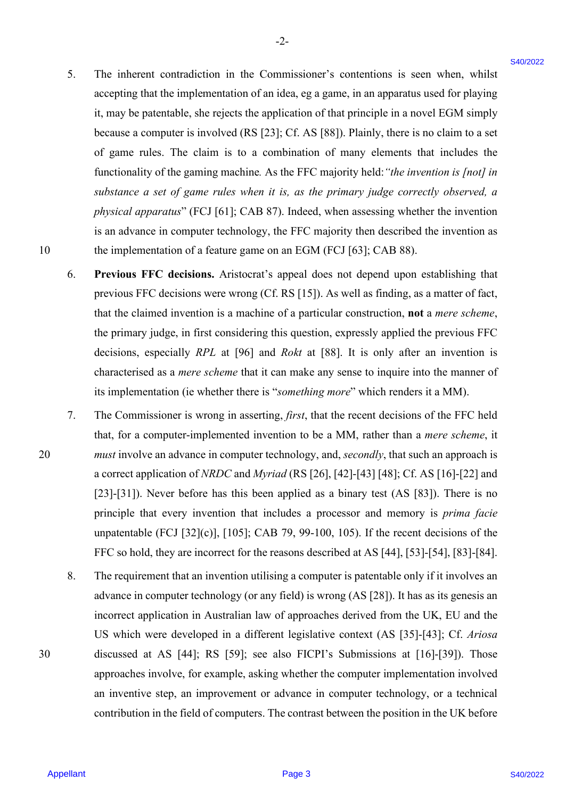- 5. The inherent contradiction in the Commissioner's contentions is seen when, whilst The inherent contradiction in the Commissioner's contentions is seen when, whilst accepting that the implementation of an idea, eg a game, in an apparatus used for playing accepting that the implementation of an idea, eg a game, in an apparatus used for playing it, may be patentable, she rejects the application of that principle in a novel EGM simply because a computer is involved (RS [23]; Cf. AS [88]). Plainly, there is no claim to a set because <sup>a</sup> computer is involved (RS [23]; Cf. AS [88]). Plainly, there is no claim to a set of game rules. The claim is to a combination of many elements that includes the of game rules. The claim is to <sup>a</sup> combination of many elements that includes the functionality of the gaming machine*.* As the FFC majority held:*"the invention is [not] in* functionality of the gaming machine. As the FFC majority held: "the invention is [not] in *substance a set of game rules when it is, as the primary judge correctly observed, a* substance a set of game rules when it is, as the primary judge correctly observed, a *physical apparatus*" (FCJ [61]; CAB 87). Indeed, when assessing whether the invention physical apparatus" (FCJ [61]; CAB 87). Indeed, when assessing whether the invention is an advance in computer technology, the FFC majority then described the invention as is an advance in computer technology, the FFC majority then described the invention as 10 the implementation of a feature game on an EGM (FCJ [63]; CAB 88). the implementation of a feature game on an EGM (FCJ [63]; CAB 88). 5. The inherent variancheion in the Commissioner's contentions is seen when, while<br>a neeping that the treplementation of motion, are also more increased in the system of the system in the system of the system of the syste 5.
	- 6. **Previous FFC decisions.** Aristocrat's appeal does not depend upon establishing that Previous FFC decisions. Aristocrat's appeal does not depend upon establishing that previous FFC decisions were wrong (Cf. RS [15]). As well as finding, as a matter of fact, previous FFC decisions were wrong (Cf. RS [15]). As well as finding, as <sup>a</sup> matter of fact, that the claimed invention is a machine of a particular construction, **not** a *mere scheme*, that the claimed invention is a machine of a particular construction, not a mere scheme, the primary judge, in first considering this question, expressly applied the previous FFC decisions, especially *RPL* at [96] and *Rokt* at [88]. It is only after an invention is decisions, especially RPL at [96] and Rokt at [88]. It is only after an invention is characterised as a *mere scheme* that it can make any sense to inquire into the manner of its implementation (ie whether there is "something more" which renders it a MM). 6.
- 7. The Commissioner is wrong in asserting, *first*, that the recent decisions of the FFC held that, for a computer-implemented invention to be a MM, rather than a *mere scheme*, it that, for a computer-implemented invention to be a MM, rather than a mere scheme, it 20 *must* involve an advance in computer technology, and, *secondly*, that such an approach is must involve an advance in computer technology, and, secondly, that such an approach is a correct application of *NRDC* and *Myriad* (RS [26], [42]-[43] [48]; Cf. AS [16]-[22] and a correct application of NRDC and Myriad (RS [26], [42]-[43] [48]; Cf. AS [16]-[22] and [23]-[31]). Never before has this been applied as a binary test (AS [83]). There is no [23]-[31]). Never before has this been applied as <sup>a</sup> binary test (AS [83]). There is no principle that every invention that includes a processor and memory is *prima facie* principle that every invention that includes a processor and memory is prima facie unpatentable (FCJ [32](c)], [105]; CAB 79, 99-100, 105). If the recent decisions of the unpatentable (FCJ [32](c)], [105]; CAB 79, 99-100, 105). If the recent decisions of the FFC so hold, they are incorrect for the reasons described at AS [44], [53]-[54], [83]-[84]. FFC so hold, they are incorrect for the reasons described at AS [44], [53]-[54], [83]-[84]. 7.
- 8. The requirement that an invention utilising a computer is patentable only if it involves an advance in computer technology (or any field) is wrong (AS [28]). It has as its genesis an advance in computer technology (or any field) is wrong (AS [28]). It has as its genesis an incorrect application in Australian law of approaches derived from the UK, EU and the incorrect application in Australian law of approaches derived from the UK, EU and the US which were developed in a different legislative context (AS [35]-[43]; Cf. *Ariosa* US which were developed in <sup>a</sup> different legislative context (AS [35]-[43]; Cf. Ariosa 30 discussed at AS [44]; RS [59]; see also FICPI's Submissions at [16]-[39]). Those discussed at AS [44]; RS [59]; see also FICPI's Submissions at [16]-[39]). Those approaches involve, for example, asking whether the computer implementation involved an inventive step, an improvement or advance in computer technology, or a technical an inventive step, an improvement or advance in computer technology, or a technical contribution in the field of computers. The contrast between the position in the UK before 8.

30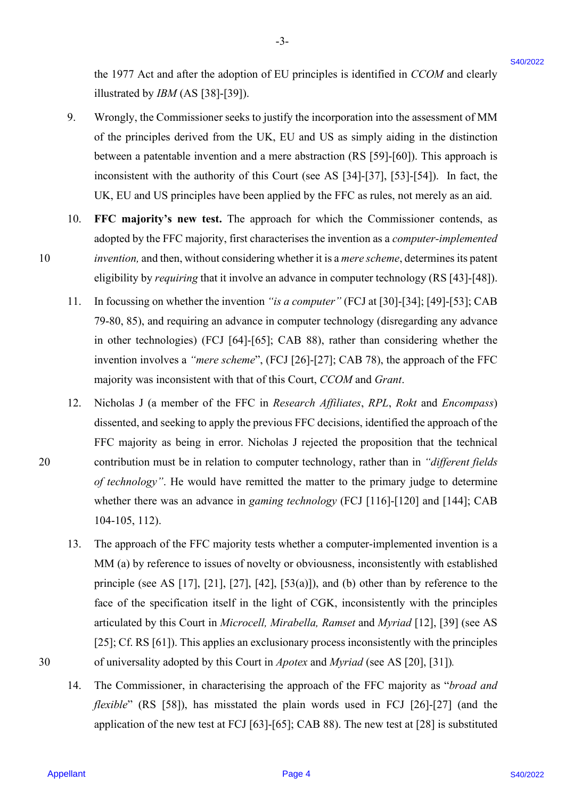the 1977 Act and after the adoption of EU principles is identified in *CCOM* and clearly the 1977 Act and after the adoption of EU principles is identified in CCOM and clearly illustrated by *IBM* (AS [38]-[39]). illustrated by JBM (AS [38]-[39]).

-3- -3-

- 9. Wrongly, the Commissioner seeks to justify the incorporation into the assessment of MM Wrongly, the Commissioner seeks to justify the incorporation into the assessment of MM of the principles derived from the UK, EU and US as simply aiding in the distinction of the principles derived from the UK, EU and US as simply aiding in the distinction between a patentable invention and a mere abstraction (RS [59]-[60]). This approach is between a patentable invention and a mere abstraction (RS [59]-[60]). This approach is inconsistent with the authority of this Court (see AS [34]-[37], [53]-[54]). In fact, the inconsistent with the authority of this Court (see AS [34]-[37], [53]-[54]). In fact, the UK, EU and US principles have been applied by the FFC as rules, not merely as an aid. UK, EU and US principles have been applied by the FFC as rules, not merely as an aid. 9.
- 10. **FFC majority's new test.** The approach for which the Commissioner contends, as FFC majority's new test. The approach for which the Commissioner contends, as adopted by the FFC majority, first characterises the invention as a *computer-implemented* adopted by the FFC majority, first characterises the invention as a computer-implemented 10 *invention*, and then, without considering whether it is a *mere scheme*, determines its patent eligibility by *requiring* that it involve an advance in computer technology (RS [43]-[48]). eligibility by requiring that it involve an advance in computer technology (RS [43]-[48]).10.
	- 11. In focussing on whether the invention *"is a computer"* (FCJ at [30]-[34]; [49]-[53]; CAB In focussing on whether the invention "is a computer" (FCJ at [30]-[34]; [49]-[53]; CAB 79-80, 85), and requiring an advance in computer technology (disregarding any advance 79-80, 85), and requiring an advance in computer technology (disregarding any advance in other technologies) (FCJ [64]-[65]; CAB 88), rather than considering whether the invention involves a *"mere scheme*", (FCJ [26]-[27]; CAB 78), the approach of the FFC invention involves <sup>a</sup> "mere scheme", (FCJ [26]-[27]; CAB 78), the approach of the FFC majority was inconsistent with that of this Court, *CCOM* and *Grant*. majority was inconsistent with that of this Court, CCOM and Grant. 11.
- 12. Nicholas J (a member of the FFC in *Research Affiliates*, *RPL*, *Rokt* and *Encompass*) Nicholas <sup>J</sup> (a member of the FFC in Research Affiliates, RPL, Rokt and Encompass) dissented, and seeking to apply the previous FFC decisions, identified the approach of the dissented, and seeking to apply the previous FFC decisions, identified the approach of the FFC majority as being in error. Nicholas J rejected the proposition that the technical FFC majority as being in error. Nicholas J rejected the proposition that the technical 20 contribution must be in relation to computer technology, rather than in *"different fields* contribution must be in relation to computer technology, rather than in "different fields of technology". He would have remitted the matter to the primary judge to determine whether there was an advance in *gaming technology* (FCJ [116]-[120] and [144]; CAB whether there was an advance in gaming technology (FCJ [116]-[120] and [144]; CAB 104-105, 112). 104-105, 112). the 1977 Act and after the adoption of EU principles is identified in CCOM and electro-<br>
9. Wineyly, the Commissioner sects to justify the intermention into the assessment of MM<br>
9. Wineyly, the Commissioner sects to just 12.
- 13. The approach of the FFC majority tests whether a computer-implemented invention is a The approach of the FFC majority tests whether a computer-implemented invention is a MM (a) by reference to issues of novelty or obviousness, inconsistently with established MM (a) by reference to issues of novelty or obviousness, inconsistently with established principle (see AS [17], [21], [27], [42], [53(a)]), and (b) other than by reference to the face of the specification itself in the light of CGK, inconsistently with the principles face of the specification itself in the light of CGK, inconsistently with the principles articulated by this Court in *Microcell, Mirabella, Ramset* and *Myriad* [12], [39] (see AS articulated by this Court in Microcell, Mirabella, Ramset and Myriad [12], [39] (see AS [25]; Cf. RS [61]). This applies an exclusionary process inconsistently with the principles [25]; Cf. RS [61]). This applies an exclusionary process inconsistently with the principles 30 of universality adopted by this Court in *Apotex* and *Myriad* (see AS [20], [31])*.* of universality adopted by this Court in Apotex and Myriad (see AS [20], [31]).13,
	- 14. The Commissioner, in characterising the approach of the FFC majority as "*broad and* The Commissioner, in characterising the approach of the FFC majority as "broad and flexible" (RS [58]), has misstated the plain words used in FCJ [26]-[27] (and the application of the new test at FCJ [63]-[65]; CAB 88). The new test at [28] is substituted application of the new test at FCJ [63]-[65]; CAB 88). The new test at [28] is substituted 14.

10

30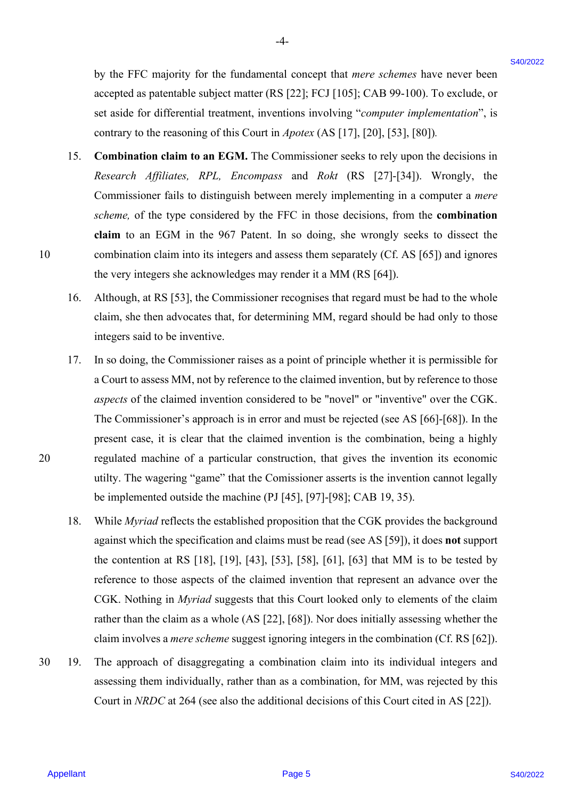by the FFC majority for the fundamental concept that *mere schemes* have never been by the FFC majority for the fundamental concept that mere schemes have never been accepted as patentable subject matter (RS [22]; FCJ [105]; CAB 99-100). To exclude, or accepted as patentable subject matter (RS [22]; FCJ [105]; CAB 99-100). To exclude, or set aside for differential treatment, inventions involving "*computer implementation*", is contrary to the reasoning of this Court in *Apotex* (AS [17], [20], [53], [80])*.* contrary to the reasoning of this Court in Apotex (AS [17], [20], [53], [80]).

-4- -4-

- 15. **Combination claim to an EGM.** The Commissioner seeks to rely upon the decisions in Combination claim to an EGM. The Commissioner seeks to rely upon the decisions in *Research Affiliates, RPL, Encompass* and *Rokt* (RS [27]-[34]). Wrongly, the Research Affiliates, RPL, Encompass and Rokt (RS [27]-[34]). Wrongly, the Commissioner fails to distinguish between merely implementing in a computer a *mere* Commissioner fails to distinguish between merely implementing in <sup>a</sup> computer <sup>a</sup> mere *scheme,* of the type considered by the FFC in those decisions, from the **combination** scheme, of the type considered by the FFC in those decisions, from the combination claim to an EGM in the 967 Patent. In so doing, she wrongly seeks to dissect the 10 combination claim into its integers and assess them separately (Cf. AS [65]) and ignores combination claim into its integers and assess them separately (Cf. AS [65]) and ignores the very integers she acknowledges may render it a MM (RS [64]). the very integers she acknowledges may render it a MM (RS [64]).15.
	- 16. Although, at RS [53], the Commissioner recognises that regard must be had to the whole claim, she then advocates that, for determining MM, regard should be had only to those claim, she then advocates that, for determining MM, regard should be had only to those integers said to be inventive. integers said to be inventive. 16.
- 17. In so doing, the Commissioner raises as a point of principle whether it is permissible for In so doing, the Commissioner raises as a point of principle whether it is permissible for a Court to assess MM, not by reference to the claimed invention, but by reference to those a Court to assess MM, not by reference to the claimed invention, but by reference to those *aspects* of the claimed invention considered to be "novel" or "inventive" over the CGK. aspects of the claimed invention considered to be "novel" or "inventive" over the CGK. The Commissioner's approach is in error and must be rejected (see AS [66]-[68]). In the The Commissioner's approach is in error and must be rejected (see AS [66]-[68]). In the present case, it is clear that the claimed invention is the combination, being a highly present case, it is clear that the claimed invention is the combination, being <sup>a</sup> highly 20 regulated machine of a particular construction, that gives the invention its economic regulated machine of a particular construction, that gives the invention its economic utilty. The wagering "game" that the Comissioner asserts is the invention cannot legally utilty. The wagering "game" that the Comissioner asserts is the invention cannot legally be implemented outside the machine (PJ [45], [97]-[98]; CAB 19, 35). be implemented outside the machine (PJ [45], [97]-[98]; CAB 19, 35). by the FPC analonisty for the fundamental concept that were schemes have accore been accored to particular the particular that is expected to the state of the state of the state of the state of the state of the state of t 17.
	- 18. While *Myriad* reflects the established proposition that the CGK provides the background against which the specification and claims must be read (see AS [59]), it does **not** support against which the specification and claims must be read (see AS [59]), it does not support the contention at RS  $[18]$ ,  $[19]$ ,  $[43]$ ,  $[53]$ ,  $[58]$ ,  $[61]$ ,  $[63]$  that MM is to be tested by reference to those aspects of the claimed invention that represent an advance over the reference to those aspects of the claimed invention that represent an advance over the CGK. Nothing in *Myriad* suggests that this Court looked only to elements of the claim CGK. Nothing in Myriad suggests that this Court looked only to elements of the claim rather than the claim as a whole (AS [22], [68]). Nor does initially assessing whether the claim involves a *mere scheme* suggest ignoring integers in the combination (Cf. RS [62]). claim involves <sup>a</sup> mere scheme suggest ignoring integers in the combination (Cf. RS [62]). 18.
- 30 19. The approach of disaggregating a combination claim into its individual integers and The approach of disaggregating <sup>a</sup> combination claim into its individual integers and assessing them individually, rather than as a combination, for MM, was rejected by this assessing them individually, rather than as <sup>a</sup> combination, for MM, was rejected by this Court in *NRDC* at 264 (see also the additional decisions of this Court cited in AS [22]). 30.19.